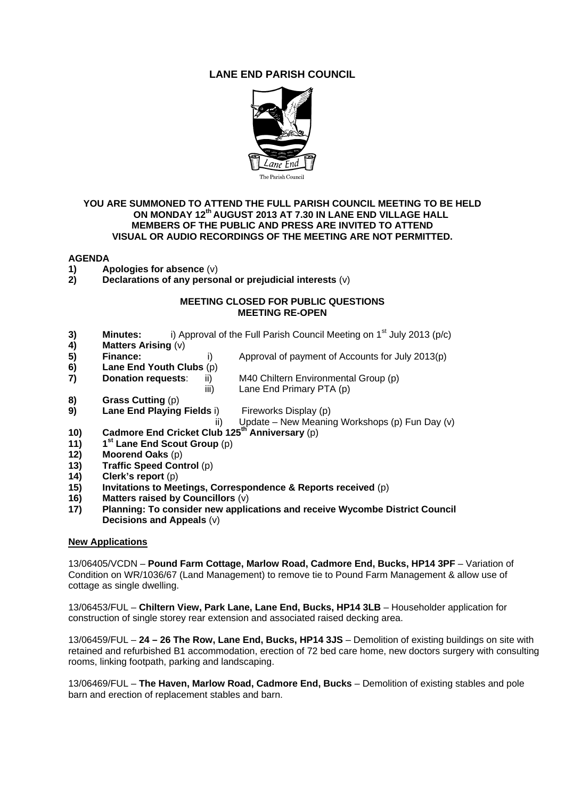# **LANE END PARISH COUNCIL**



#### **YOU ARE SUMMONED TO ATTEND THE FULL PARISH COUNCIL MEETING TO BE HELD ON MONDAY 12th AUGUST 2013 AT 7.30 IN LANE END VILLAGE HALL MEMBERS OF THE PUBLIC AND PRESS ARE INVITED TO ATTEND VISUAL OR AUDIO RECORDINGS OF THE MEETING ARE NOT PERMITTED.**

## **AGENDA**

- **1)** Apologies for absence (v)<br>**2)** Declarations of any perso
- **2) Declarations of any personal or prejudicial interests** (v)

#### **MEETING CLOSED FOR PUBLIC QUESTIONS MEETING RE-OPEN**

- **3) Minutes:** i) Approval of the Full Parish Council Meeting on 1<sup>st</sup> July 2013 (p/c) <br>**4) Matters Arising** (v)
- **4) Matters Arising** (v)
- **5) Finance:** i) Approval of payment of Accounts for July 2013(p)
- **6) Lane End Youth Clubs** (p)
- **7) Donation requests**: ii) M40 Chiltern Environmental Group (p)
- iii) Lane End Primary PTA (p)
- **8) Grass Cutting** (p)
- **9) Lane End Playing Fields** i) Fireworks Display (p)

ii) Update – New Meaning Workshops (p) Fun Day (v)<br> **10)** Cadmore End Cricket Club 125<sup>th</sup> Anniversary (p)

**10) Cadmore End Cricket Club 125th Anniversary** (p)

- **11) 1st Lane End Scout Group** (p)
- **12) Moorend Oaks** (p)
- **13) Traffic Speed Control** (p)
- **14) Clerk's report** (p)
- **15) Invitations to Meetings, Correspondence & Reports received** (p)
- **16) Matters raised by Councillors** (v)
- **17) Planning: To consider new applications and receive Wycombe District Council Decisions and Appeals** (v)

## **New Applications**

13/06405/VCDN – **Pound Farm Cottage, Marlow Road, Cadmore End, Bucks, HP14 3PF** – Variation of Condition on WR/1036/67 (Land Management) to remove tie to Pound Farm Management & allow use of cottage as single dwelling.

13/06453/FUL – **Chiltern View, Park Lane, Lane End, Bucks, HP14 3LB** – Householder application for construction of single storey rear extension and associated raised decking area.

13/06459/FUL – **24 – 26 The Row, Lane End, Bucks, HP14 3JS** – Demolition of existing buildings on site with retained and refurbished B1 accommodation, erection of 72 bed care home, new doctors surgery with consulting rooms, linking footpath, parking and landscaping.

13/06469/FUL – **The Haven, Marlow Road, Cadmore End, Bucks** – Demolition of existing stables and pole barn and erection of replacement stables and barn.